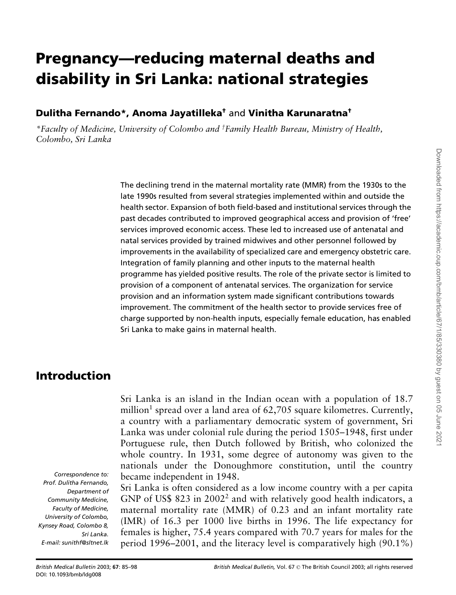# **Pregnancy—reducing maternal deaths and disability in Sri Lanka: national strategies**

**Dulitha Fernando\*, Anoma Jayatilleka†** and **Vinitha Karunaratna†**

*\*Faculty of Medicine, University of Colombo and † Family Health Bureau, Ministry of Health, Colombo, Sri Lanka*

> The declining trend in the maternal mortality rate (MMR) from the 1930s to the late 1990s resulted from several strategies implemented within and outside the health sector. Expansion of both field-based and institutional services through the past decades contributed to improved geographical access and provision of 'free' services improved economic access. These led to increased use of antenatal and natal services provided by trained midwives and other personnel followed by improvements in the availability of specialized care and emergency obstetric care. Integration of family planning and other inputs to the maternal health programme has yielded positive results. The role of the private sector is limited to provision of a component of antenatal services. The organization for service provision and an information system made significant contributions towards improvement. The commitment of the health sector to provide services free of charge supported by non-health inputs, especially female education, has enabled Sri Lanka to make gains in maternal health.

# **Introduction**

*Correspondence to: Prof. Dulitha Fernando, Department of Community Medicine, Faculty of Medicine, University of Colombo, Kynsey Road, Colombo 8, Sri Lanka. E-mail: sunithf@sltnet.lk* Sri Lanka is an island in the Indian ocean with a population of 18.7 million $^{\rm 1}$  spread over a land area of 62,705 square kilometres. Currently, a country with a parliamentary democratic system of government, Sri Lanka was under colonial rule during the period 1505–1948, first under Portuguese rule, then Dutch followed by British, who colonized the whole country. In 1931, some degree of autonomy was given to the nationals under the Donoughmore constitution, until the country became independent in 1948.

Sri Lanka is often considered as a low income country with a per capita GNP of US\$ 823 in 2002<sup>2</sup> and with relatively good health indicators, a maternal mortality rate (MMR) of 0.23 and an infant mortality rate (IMR) of 16.3 per 1000 live births in 1996. The life expectancy for females is higher, 75.4 years compared with 70.7 years for males for the period 1996–2001, and the literacy level is comparatively high (90.1%)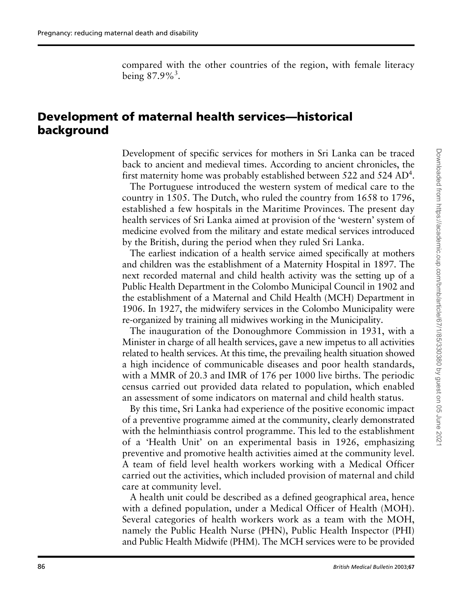compared with the other countries of the region, with female literacy being 87.9%<sup>3</sup>.

# **Development of maternal health services—historical background**

Development of specific services for mothers in Sri Lanka can be traced back to ancient and medieval times. According to ancient chronicles, the first maternity home was probably established between 522 and 524 AD<sup>4</sup>.

The Portuguese introduced the western system of medical care to the country in 1505. The Dutch, who ruled the country from 1658 to 1796, established a few hospitals in the Maritime Provinces. The present day health services of Sri Lanka aimed at provision of the 'western' system of medicine evolved from the military and estate medical services introduced by the British, during the period when they ruled Sri Lanka.

The earliest indication of a health service aimed specifically at mothers and children was the establishment of a Maternity Hospital in 1897. The next recorded maternal and child health activity was the setting up of a Public Health Department in the Colombo Municipal Council in 1902 and the establishment of a Maternal and Child Health (MCH) Department in 1906. In 1927, the midwifery services in the Colombo Municipality were re-organized by training all midwives working in the Municipality.

The inauguration of the Donoughmore Commission in 1931, with a Minister in charge of all health services, gave a new impetus to all activities related to health services. At this time, the prevailing health situation showed a high incidence of communicable diseases and poor health standards, with a MMR of 20.3 and IMR of 176 per 1000 live births. The periodic census carried out provided data related to population, which enabled an assessment of some indicators on maternal and child health status.

By this time, Sri Lanka had experience of the positive economic impact of a preventive programme aimed at the community, clearly demonstrated with the helminthiasis control programme. This led to the establishment of a 'Health Unit' on an experimental basis in 1926, emphasizing preventive and promotive health activities aimed at the community level. A team of field level health workers working with a Medical Officer carried out the activities, which included provision of maternal and child care at community level.

A health unit could be described as a defined geographical area, hence with a defined population, under a Medical Officer of Health (MOH). Several categories of health workers work as a team with the MOH, namely the Public Health Nurse (PHN), Public Health Inspector (PHI) and Public Health Midwife (PHM). The MCH services were to be provided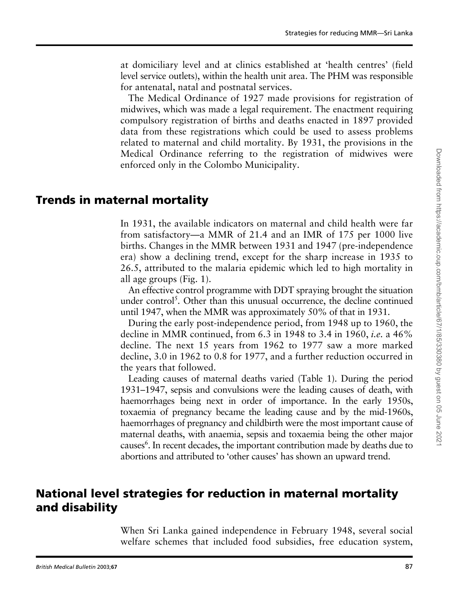at domiciliary level and at clinics established at 'health centres' (field level service outlets), within the health unit area. The PHM was responsible for antenatal, natal and postnatal services.

The Medical Ordinance of 1927 made provisions for registration of midwives, which was made a legal requirement. The enactment requiring compulsory registration of births and deaths enacted in 1897 provided data from these registrations which could be used to assess problems related to maternal and child mortality. By 1931, the provisions in the Medical Ordinance referring to the registration of midwives were enforced only in the Colombo Municipality.

# **Trends in maternal mortality**

In 1931, the available indicators on maternal and child health were far from satisfactory—a MMR of 21.4 and an IMR of 175 per 1000 live births. Changes in the MMR between 1931 and 1947 (pre-independence era) show a declining trend, except for the sharp increase in 1935 to 26.5, attributed to the malaria epidemic which led to high mortality in all age groups (Fig. 1).

An effective control programme with DDT spraying brought the situation under control<sup>5</sup>. Other than this unusual occurrence, the decline continued until 1947, when the MMR was approximately 50% of that in 1931.

During the early post-independence period, from 1948 up to 1960, the decline in MMR continued, from 6.3 in 1948 to 3.4 in 1960, *i.e.* a 46% decline. The next 15 years from 1962 to 1977 saw a more marked decline, 3.0 in 1962 to 0.8 for 1977, and a further reduction occurred in the years that followed.

Leading causes of maternal deaths varied (Table 1). During the period 1931–1947, sepsis and convulsions were the leading causes of death, with haemorrhages being next in order of importance. In the early 1950s, toxaemia of pregnancy became the leading cause and by the mid-1960s, haemorrhages of pregnancy and childbirth were the most important cause of maternal deaths, with anaemia, sepsis and toxaemia being the other major causes<sup>6</sup>. In recent decades, the important contribution made by deaths due to abortions and attributed to 'other causes' has shown an upward trend.

# **National level strategies for reduction in maternal mortality and disability**

When Sri Lanka gained independence in February 1948, several social welfare schemes that included food subsidies, free education system,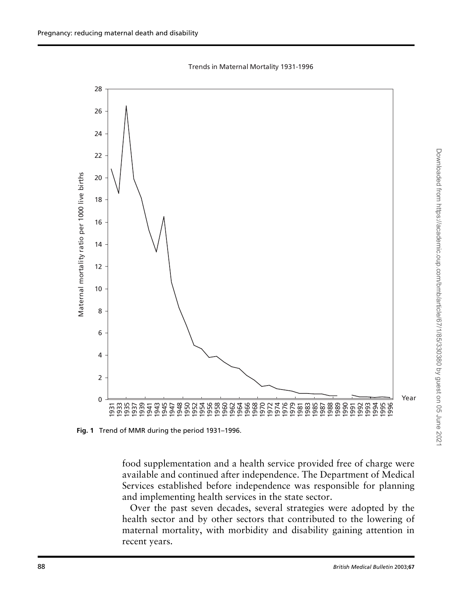

Trends in Maternal Mortality 1931-1996

**Fig. 1** Trend of MMR during the period 1931–1996.

food supplementation and a health service provided free of charge were available and continued after independence. The Department of Medical Services established before independence was responsible for planning and implementing health services in the state sector.

Over the past seven decades, several strategies were adopted by the health sector and by other sectors that contributed to the lowering of maternal mortality, with morbidity and disability gaining attention in recent years.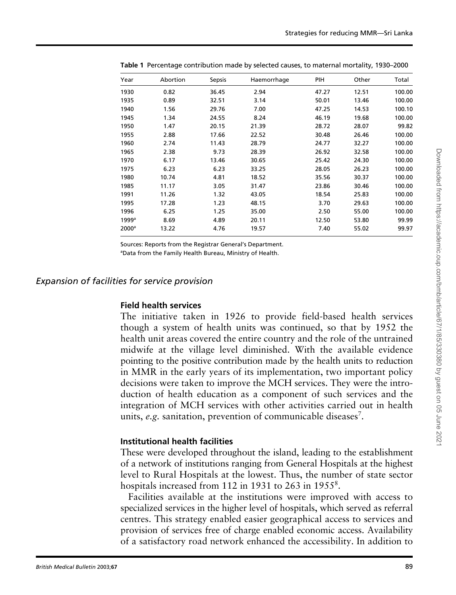| Year                | Abortion | <b>Sepsis</b> | Haemorrhage | PIH   | Other | Total  |  |
|---------------------|----------|---------------|-------------|-------|-------|--------|--|
| 1930                | 0.82     | 36.45         | 2.94        | 47.27 | 12.51 | 100.00 |  |
| 1935                | 0.89     | 32.51         | 3.14        | 50.01 | 13.46 | 100.00 |  |
| 1940                | 1.56     | 29.76         | 7.00        | 47.25 | 14.53 | 100.10 |  |
| 1945                | 1.34     | 24.55         | 8.24        | 46.19 | 19.68 | 100.00 |  |
| 1950                | 1.47     | 20.15         | 21.39       | 28.72 | 28.07 | 99.82  |  |
| 1955                | 2.88     | 17.66         | 22.52       | 30.48 | 26.46 | 100.00 |  |
| 1960                | 2.74     | 11.43         | 28.79       | 24.77 | 32.27 | 100.00 |  |
| 1965                | 2.38     | 9.73          | 28.39       | 26.92 | 32.58 | 100.00 |  |
| 1970                | 6.17     | 13.46         | 30.65       | 25.42 | 24.30 | 100.00 |  |
| 1975                | 6.23     | 6.23          | 33.25       | 28.05 | 26.23 | 100.00 |  |
| 1980                | 10.74    | 4.81          | 18.52       | 35.56 | 30.37 | 100.00 |  |
| 1985                | 11.17    | 3.05          | 31.47       | 23.86 | 30.46 | 100.00 |  |
| 1991                | 11.26    | 1.32          | 43.05       | 18.54 | 25.83 | 100.00 |  |
| 1995                | 17.28    | 1.23          | 48.15       | 3.70  | 29.63 | 100.00 |  |
| 1996                | 6.25     | 1.25          | 35.00       | 2.50  | 55.00 | 100.00 |  |
| 1999a               | 8.69     | 4.89          | 20.11       | 12.50 | 53.80 | 99.99  |  |
| $2000$ <sup>a</sup> | 13.22    | 4.76          | 19.57       | 7.40  | 55.02 | 99.97  |  |

**Table 1** Percentage contribution made by selected causes, to maternal mortality, 1930–2000

Sources: Reports from the Registrar General's Department.

<sup>a</sup>Data from the Family Health Bureau, Ministry of Health.

#### *Expansion of facilities for service provision*

#### **Field health services**

The initiative taken in 1926 to provide field-based health services though a system of health units was continued, so that by 1952 the health unit areas covered the entire country and the role of the untrained midwife at the village level diminished. With the available evidence pointing to the positive contribution made by the health units to reduction in MMR in the early years of its implementation, two important policy decisions were taken to improve the MCH services. They were the introduction of health education as a component of such services and the integration of MCH services with other activities carried out in health units, e.g. sanitation, prevention of communicable diseases<sup>7</sup>.

#### **Institutional health facilities**

These were developed throughout the island, leading to the establishment of a network of institutions ranging from General Hospitals at the highest level to Rural Hospitals at the lowest. Thus, the number of state sector hospitals increased from 112 in 1931 to 263 in 1955<sup>8</sup>.

Facilities available at the institutions were improved with access to specialized services in the higher level of hospitals, which served as referral centres. This strategy enabled easier geographical access to services and provision of services free of charge enabled economic access. Availability of a satisfactory road network enhanced the accessibility. In addition to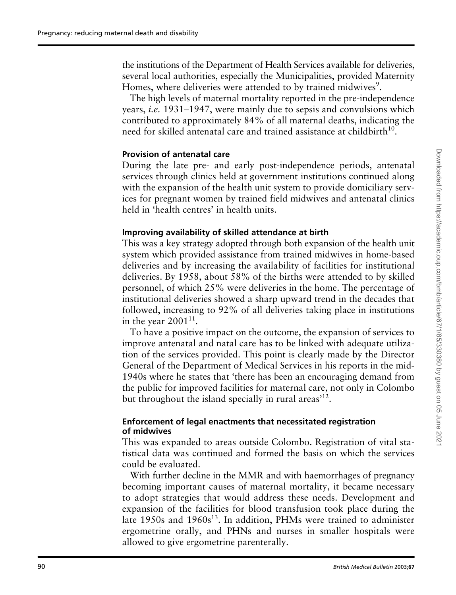the institutions of the Department of Health Services available for deliveries, several local authorities, especially the Municipalities, provided Maternity Homes, where deliveries were attended to by trained midwives<sup>9</sup>.

The high levels of maternal mortality reported in the pre-independence years, *i.e.* 1931–1947, were mainly due to sepsis and convulsions which contributed to approximately 84% of all maternal deaths, indicating the need for skilled antenatal care and trained assistance at childbirth $10$ .

#### **Provision of antenatal care**

During the late pre- and early post-independence periods, antenatal services through clinics held at government institutions continued along with the expansion of the health unit system to provide domiciliary services for pregnant women by trained field midwives and antenatal clinics held in 'health centres' in health units.

#### **Improving availability of skilled attendance at birth**

This was a key strategy adopted through both expansion of the health unit system which provided assistance from trained midwives in home-based deliveries and by increasing the availability of facilities for institutional deliveries. By 1958, about 58% of the births were attended to by skilled personnel, of which 25% were deliveries in the home. The percentage of institutional deliveries showed a sharp upward trend in the decades that followed, increasing to 92% of all deliveries taking place in institutions in the year  $2001^{11}$ .

To have a positive impact on the outcome, the expansion of services to improve antenatal and natal care has to be linked with adequate utilization of the services provided. This point is clearly made by the Director General of the Department of Medical Services in his reports in the mid-1940s where he states that 'there has been an encouraging demand from the public for improved facilities for maternal care, not only in Colombo but throughout the island specially in rural areas<sup>12</sup>.

#### **Enforcement of legal enactments that necessitated registration of midwives**

This was expanded to areas outside Colombo. Registration of vital statistical data was continued and formed the basis on which the services could be evaluated.

With further decline in the MMR and with haemorrhages of pregnancy becoming important causes of maternal mortality, it became necessary to adopt strategies that would address these needs. Development and expansion of the facilities for blood transfusion took place during the late  $1950s$  and  $1960s<sup>13</sup>$ . In addition, PHMs were trained to administer ergometrine orally, and PHNs and nurses in smaller hospitals were allowed to give ergometrine parenterally.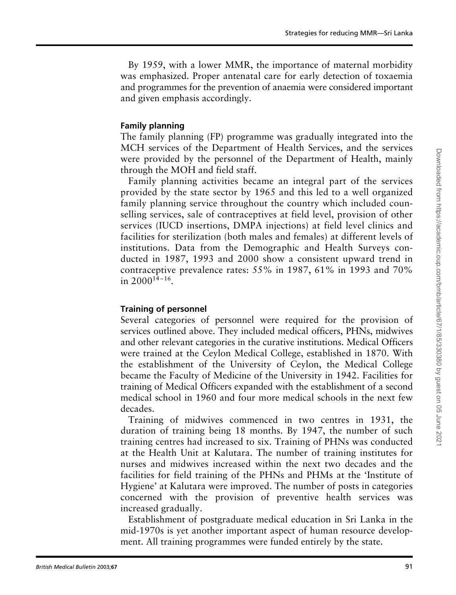By 1959, with a lower MMR, the importance of maternal morbidity was emphasized. Proper antenatal care for early detection of toxaemia and programmes for the prevention of anaemia were considered important and given emphasis accordingly.

### **Family planning**

The family planning (FP) programme was gradually integrated into the MCH services of the Department of Health Services, and the services were provided by the personnel of the Department of Health, mainly through the MOH and field staff.

Family planning activities became an integral part of the services provided by the state sector by 1965 and this led to a well organized family planning service throughout the country which included counselling services, sale of contraceptives at field level, provision of other services (IUCD insertions, DMPA injections) at field level clinics and facilities for sterilization (both males and females) at different levels of institutions. Data from the Demographic and Health Surveys conducted in 1987, 1993 and 2000 show a consistent upward trend in contraceptive prevalence rates: 55% in 1987, 61% in 1993 and 70% in  $2000^{14-16}$ .

# **Training of personnel**

Several categories of personnel were required for the provision of services outlined above. They included medical officers, PHNs, midwives and other relevant categories in the curative institutions. Medical Officers were trained at the Ceylon Medical College, established in 1870. With the establishment of the University of Ceylon, the Medical College became the Faculty of Medicine of the University in 1942. Facilities for training of Medical Officers expanded with the establishment of a second medical school in 1960 and four more medical schools in the next few decades.

Training of midwives commenced in two centres in 1931, the duration of training being 18 months. By 1947, the number of such training centres had increased to six. Training of PHNs was conducted at the Health Unit at Kalutara. The number of training institutes for nurses and midwives increased within the next two decades and the facilities for field training of the PHNs and PHMs at the 'Institute of Hygiene' at Kalutara were improved. The number of posts in categories concerned with the provision of preventive health services was increased gradually.

Establishment of postgraduate medical education in Sri Lanka in the mid-1970s is yet another important aspect of human resource development. All training programmes were funded entirely by the state.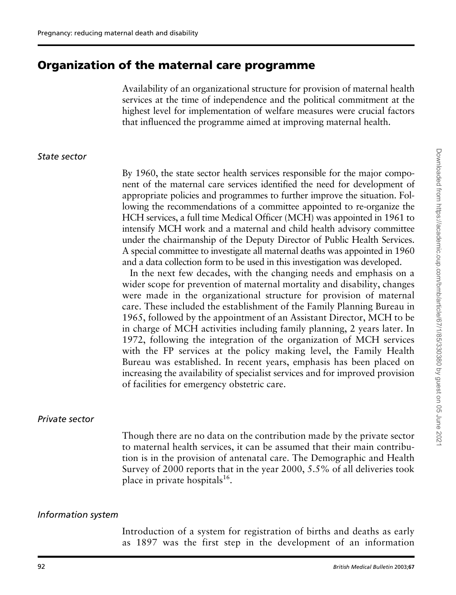### **Organization of the maternal care programme**

Availability of an organizational structure for provision of maternal health services at the time of independence and the political commitment at the highest level for implementation of welfare measures were crucial factors that influenced the programme aimed at improving maternal health.

#### *State sector*

By 1960, the state sector health services responsible for the major component of the maternal care services identified the need for development of appropriate policies and programmes to further improve the situation. Following the recommendations of a committee appointed to re-organize the HCH services, a full time Medical Officer (MCH) was appointed in 1961 to intensify MCH work and a maternal and child health advisory committee under the chairmanship of the Deputy Director of Public Health Services. A special committee to investigate all maternal deaths was appointed in 1960 and a data collection form to be used in this investigation was developed.

In the next few decades, with the changing needs and emphasis on a wider scope for prevention of maternal mortality and disability, changes were made in the organizational structure for provision of maternal care. These included the establishment of the Family Planning Bureau in 1965, followed by the appointment of an Assistant Director, MCH to be in charge of MCH activities including family planning, 2 years later. In 1972, following the integration of the organization of MCH services with the FP services at the policy making level, the Family Health Bureau was established. In recent years, emphasis has been placed on increasing the availability of specialist services and for improved provision of facilities for emergency obstetric care.

#### *Private sector*

Though there are no data on the contribution made by the private sector to maternal health services, it can be assumed that their main contribution is in the provision of antenatal care. The Demographic and Health Survey of 2000 reports that in the year 2000, 5.5% of all deliveries took place in private hospitals $16$ .

#### *Information system*

Introduction of a system for registration of births and deaths as early as 1897 was the first step in the development of an information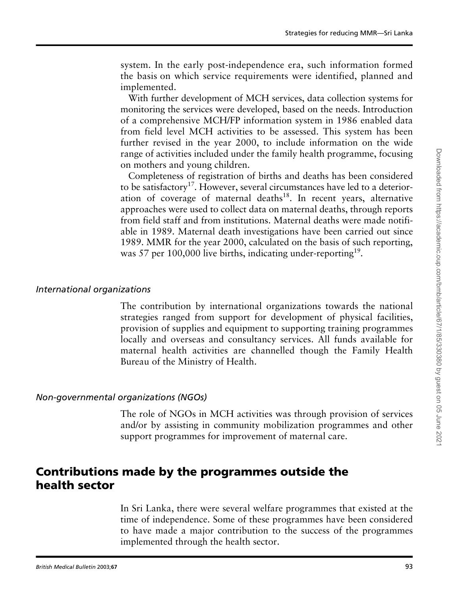system. In the early post-independence era, such information formed the basis on which service requirements were identified, planned and implemented.

With further development of MCH services, data collection systems for monitoring the services were developed, based on the needs. Introduction of a comprehensive MCH/FP information system in 1986 enabled data from field level MCH activities to be assessed. This system has been further revised in the year 2000, to include information on the wide range of activities included under the family health programme, focusing on mothers and young children.

Completeness of registration of births and deaths has been considered to be satisfactory<sup>17</sup>. However, several circumstances have led to a deterioration of coverage of maternal deaths<sup>18</sup>. In recent years, alternative approaches were used to collect data on maternal deaths, through reports from field staff and from institutions. Maternal deaths were made notifiable in 1989. Maternal death investigations have been carried out since 1989. MMR for the year 2000, calculated on the basis of such reporting, was 57 per 100,000 live births, indicating under-reporting<sup>19</sup>.

#### *International organizations*

The contribution by international organizations towards the national strategies ranged from support for development of physical facilities, provision of supplies and equipment to supporting training programmes locally and overseas and consultancy services. All funds available for maternal health activities are channelled though the Family Health Bureau of the Ministry of Health.

### *Non-governmental organizations (NGOs)*

The role of NGOs in MCH activities was through provision of services and/or by assisting in community mobilization programmes and other support programmes for improvement of maternal care.

# **Contributions made by the programmes outside the health sector**

In Sri Lanka, there were several welfare programmes that existed at the time of independence. Some of these programmes have been considered to have made a major contribution to the success of the programmes implemented through the health sector.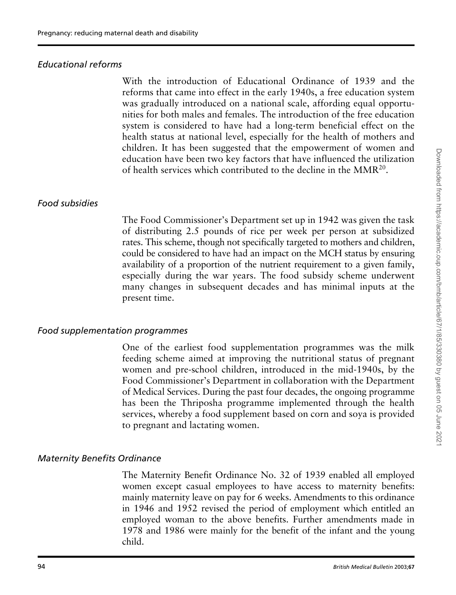#### *Educational reforms*

With the introduction of Educational Ordinance of 1939 and the reforms that came into effect in the early 1940s, a free education system was gradually introduced on a national scale, affording equal opportunities for both males and females. The introduction of the free education system is considered to have had a long-term beneficial effect on the health status at national level, especially for the health of mothers and children. It has been suggested that the empowerment of women and education have been two key factors that have influenced the utilization of health services which contributed to the decline in the  $MMR^{20}$ .

#### *Food subsidies*

The Food Commissioner's Department set up in 1942 was given the task of distributing 2.5 pounds of rice per week per person at subsidized rates. This scheme, though not specifically targeted to mothers and children, could be considered to have had an impact on the MCH status by ensuring availability of a proportion of the nutrient requirement to a given family, especially during the war years. The food subsidy scheme underwent many changes in subsequent decades and has minimal inputs at the present time.

#### *Food supplementation programmes*

One of the earliest food supplementation programmes was the milk feeding scheme aimed at improving the nutritional status of pregnant women and pre-school children, introduced in the mid-1940s, by the Food Commissioner's Department in collaboration with the Department of Medical Services. During the past four decades, the ongoing programme has been the Thriposha programme implemented through the health services, whereby a food supplement based on corn and soya is provided to pregnant and lactating women.

#### *Maternity Benefits Ordinance*

The Maternity Benefit Ordinance No. 32 of 1939 enabled all employed women except casual employees to have access to maternity benefits: mainly maternity leave on pay for 6 weeks. Amendments to this ordinance in 1946 and 1952 revised the period of employment which entitled an employed woman to the above benefits. Further amendments made in 1978 and 1986 were mainly for the benefit of the infant and the young child.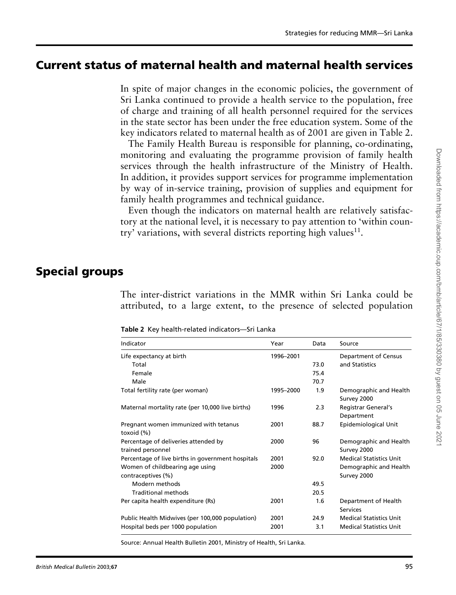# **Current status of maternal health and maternal health services**

In spite of major changes in the economic policies, the government of Sri Lanka continued to provide a health service to the population, free of charge and training of all health personnel required for the services in the state sector has been under the free education system. Some of the key indicators related to maternal health as of 2001 are given in Table 2.

The Family Health Bureau is responsible for planning, co-ordinating, monitoring and evaluating the programme provision of family health services through the health infrastructure of the Ministry of Health. In addition, it provides support services for programme implementation by way of in-service training, provision of supplies and equipment for family health programmes and technical guidance.

Even though the indicators on maternal health are relatively satisfactory at the national level, it is necessary to pay attention to 'within country' variations, with several districts reporting high values<sup>11</sup>.

# **Special groups**

The inter-district variations in the MMR within Sri Lanka could be attributed, to a large extent, to the presence of selected population

| Indicator                                                 | Year      | Data | Source                                |  |
|-----------------------------------------------------------|-----------|------|---------------------------------------|--|
| Life expectancy at birth                                  | 1996-2001 |      | Department of Census                  |  |
| Total                                                     |           | 73.0 | and Statistics                        |  |
| Female                                                    |           | 75.4 |                                       |  |
| Male                                                      |           | 70.7 |                                       |  |
| Total fertility rate (per woman)                          | 1995-2000 | 1.9  | Demographic and Health<br>Survey 2000 |  |
| Maternal mortality rate (per 10,000 live births)          | 1996      | 2.3  | Registrar General's<br>Department     |  |
| Pregnant women immunized with tetanus<br>toxoid (%)       | 2001      | 88.7 | Epidemiological Unit                  |  |
| Percentage of deliveries attended by<br>trained personnel | 2000      | 96   | Demographic and Health<br>Survey 2000 |  |
| Percentage of live births in government hospitals         | 2001      | 92.0 | <b>Medical Statistics Unit</b>        |  |
| Women of childbearing age using<br>contraceptives (%)     | 2000      |      | Demographic and Health<br>Survey 2000 |  |
| Modern methods                                            |           | 49.5 |                                       |  |
| <b>Traditional methods</b>                                |           | 20.5 |                                       |  |
| Per capita health expenditure (Rs)                        | 2001      | 1.6  | Department of Health<br>Services      |  |
| Public Health Midwives (per 100,000 population)           | 2001      | 24.9 | <b>Medical Statistics Unit</b>        |  |
| Hospital beds per 1000 population                         | 2001      | 3.1  | <b>Medical Statistics Unit</b>        |  |

**Table 2** Key health-related indicators—Sri Lanka

Source: Annual Health Bulletin 2001, Ministry of Health, Sri Lanka.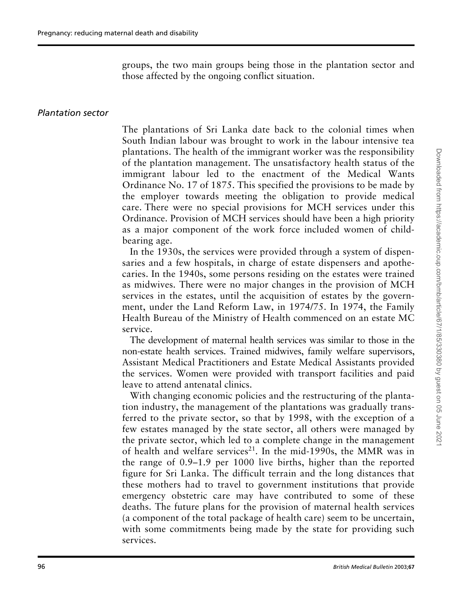groups, the two main groups being those in the plantation sector and those affected by the ongoing conflict situation.

### *Plantation sector*

The plantations of Sri Lanka date back to the colonial times when South Indian labour was brought to work in the labour intensive tea plantations. The health of the immigrant worker was the responsibility of the plantation management. The unsatisfactory health status of the immigrant labour led to the enactment of the Medical Wants Ordinance No. 17 of 1875. This specified the provisions to be made by the employer towards meeting the obligation to provide medical care. There were no special provisions for MCH services under this Ordinance. Provision of MCH services should have been a high priority as a major component of the work force included women of childbearing age.

In the 1930s, the services were provided through a system of dispensaries and a few hospitals, in charge of estate dispensers and apothecaries. In the 1940s, some persons residing on the estates were trained as midwives. There were no major changes in the provision of MCH services in the estates, until the acquisition of estates by the government, under the Land Reform Law, in 1974/75. In 1974, the Family Health Bureau of the Ministry of Health commenced on an estate MC service.

The development of maternal health services was similar to those in the non-estate health services. Trained midwives, family welfare supervisors, Assistant Medical Practitioners and Estate Medical Assistants provided the services. Women were provided with transport facilities and paid leave to attend antenatal clinics.

With changing economic policies and the restructuring of the plantation industry, the management of the plantations was gradually transferred to the private sector, so that by 1998, with the exception of a few estates managed by the state sector, all others were managed by the private sector, which led to a complete change in the management of health and welfare services<sup>21</sup>. In the mid-1990s, the MMR was in the range of 0.9–1.9 per 1000 live births, higher than the reported figure for Sri Lanka. The difficult terrain and the long distances that these mothers had to travel to government institutions that provide emergency obstetric care may have contributed to some of these deaths. The future plans for the provision of maternal health services (a component of the total package of health care) seem to be uncertain, with some commitments being made by the state for providing such services.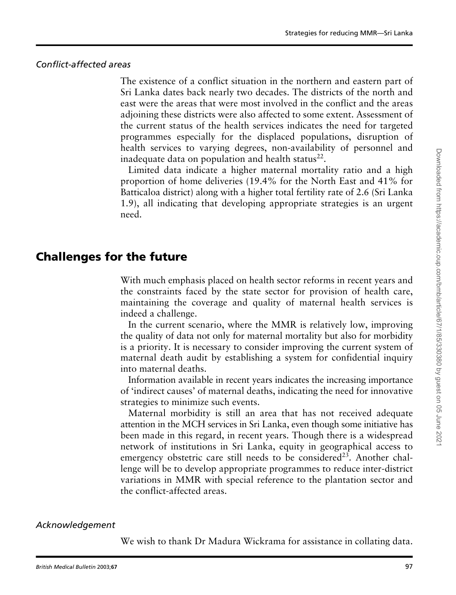### *Conflict-affected areas*

The existence of a conflict situation in the northern and eastern part of Sri Lanka dates back nearly two decades. The districts of the north and east were the areas that were most involved in the conflict and the areas adjoining these districts were also affected to some extent. Assessment of the current status of the health services indicates the need for targeted programmes especially for the displaced populations, disruption of health services to varying degrees, non-availability of personnel and inadequate data on population and health status $^{22}$ .

Limited data indicate a higher maternal mortality ratio and a high proportion of home deliveries (19.4% for the North East and 41% for Batticaloa district) along with a higher total fertility rate of 2.6 (Sri Lanka 1.9), all indicating that developing appropriate strategies is an urgent need.

# **Challenges for the future**

With much emphasis placed on health sector reforms in recent years and the constraints faced by the state sector for provision of health care, maintaining the coverage and quality of maternal health services is indeed a challenge.

In the current scenario, where the MMR is relatively low, improving the quality of data not only for maternal mortality but also for morbidity is a priority. It is necessary to consider improving the current system of maternal death audit by establishing a system for confidential inquiry into maternal deaths.

Information available in recent years indicates the increasing importance of 'indirect causes' of maternal deaths, indicating the need for innovative strategies to minimize such events.

Maternal morbidity is still an area that has not received adequate attention in the MCH services in Sri Lanka, even though some initiative has been made in this regard, in recent years. Though there is a widespread network of institutions in Sri Lanka, equity in geographical access to emergency obstetric care still needs to be considered<sup>23</sup>. Another challenge will be to develop appropriate programmes to reduce inter-district variations in MMR with special reference to the plantation sector and the conflict-affected areas.

*Acknowledgement*

We wish to thank Dr Madura Wickrama for assistance in collating data.